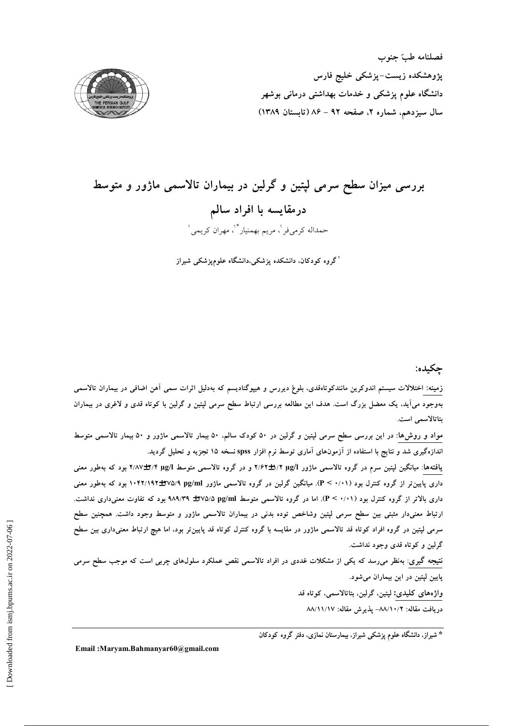فصلنامه طبّ جنوب پژوهشکده زیست–پزشکی خلیج فارس دانشگاه علوم پزشکی و خدمات بهداشتی درمانی بوشهر سال سيزدهم، شماره ٢، صفحه ٩٢ - ٨۶ (تابستان ١٣٨٩)



# بررسی میزان سطح سرمی لپتین و گرلین در بیماران تالاسمی ماژور و متوسط درمقايسه با افراد سالم حمداله كرمىفر '، مريم بهمنيار \*'، مهران كريمي '

<sup>۱</sup>گروه کودکان، دانشکده یزشکی،دانشگاه علومیزشکی شیراز

## چکیده:

زمینه: اختلالات سیستم اندوکرین مانندکوتاهقدی، بلوغ دیررس و هیپوگنادیسم که بهدلیل اثرات سمی اَهن اضافی در بیماران تالاسمی بهوجود میآید، یک معضل بزرگ است. هدف این مطالعه بررسی ارتباط سطح سرمی لپتین و گرلین با کوتاه قدی و لاغری در بیماران بتاتالاسمى است.

مواد و روش۵ا: در این بررسی سطح سرمی لپتین و گرلین در ۵۰ کودک سالم، ۵۰ بیمار تالاسمی ماژور و ۵۰ بیمار تالاسمی متوسط اندازهگیری شد و نتایج با استفاده از آزمونهای آماری توسط نرم افزار spss نسخه ۱۵ تجزیه و تحلیل گردید.

یافتهها: میانگین لپتین سرم در گروه تالاسمی ماژور ۳/۶۲±۱/۲ و در گروه تالاسمی متوسط ۳/۸۷±۲/۲ بود که بهطور معنی داری پایین تر از گروه کنترل بود (۰/۰۱) .P < ۰/۰۱). میانگین گرلین در گروه تالاسمی ماژور ۱۰۴۲/۱۹۲±۲۷۵/۹ بود که بهطور معنی داری بالاتر از گروه کنترل بود (۰/۰۱). اما در گروه تالاسمی متوسط ۹۷۵/۵pg/ml (۳۷۵/۵ بود که تفاوت معنیداری نداشت. ارتباط معنیدار مثبتی بین سطح سرمی لپتین وشاخص توده بدنی در بیماران تالاسمی ماژور و متوسط وجود داشت. همچنین سطح سرمی لپتین در گروه افراد کوتاه قد تالاسمی ماژور در مقایسه با گروه کنترل کوتاه قد پایینiتر بود، اما هیچ ارتباط معنیداری بین سطح گرلين و کو تاه قدي وجود نداشت.

نتیجه گیری: بهنظر میرسد که یکی از مشکلات غددی در افراد تالاسمی نقص عملکرد سلولهای چربی است که موجب سطح سرمی پایین لپتین در این بیماران میشود.

> واژەھاي كليدى: لپتين، گرلين، بتاتالاسمى، كوتاه قد دريافت مقاله: ٨٨/١٠/٢– پذيرش مقاله: ٨٨/١١/١٧

\* شیراز، دانشگاه علوم پزشکی شیراز، بیمارستان نمازی، دفتر گروه کودکان

Email: Marvam. Bahmanyar 60@gmail.com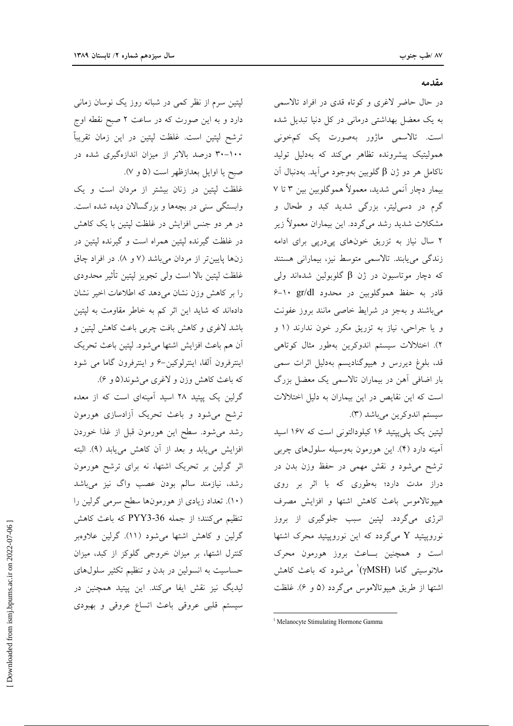لیتین سرم از نظر کمی در شبانه روز یک نوسان زمانی دارد و به این صورت که در ساعت ۲ صبح نقطه اوج ترشح لپتین است. غلظت لپتین در این زمان تقریباً ۲۰–۳۰ درصد بالاتر از میزان اندازهگیری شده در صبح یا اوایل بعدازظهر است (۵ و ۷).

غلظت لپتین در زنان بیشتر از مردان است و یک وابستگی سنی در بچهها و بزرگسالان دیده شده است. در هر دو جنس افزایش در غلظت لپتین با یک کاهش در غلظت گیرنده لیتین همراه است و گیرنده لیتین در زنها پایین تر از مردان میباشد (۷ و ۸). در افراد چاق غلظت لپتین بالا است ولی تجویز لپتین تأثیر محدودی را بر کاهش وزن نشان می۵هد که اطلاعات اخیر نشان دادهاند که شاید این اثر کم به خاطر مقاومت به لپتین باشد لاغری و کاهش بافت چربی باعث کاهش لیتین و آن هم باعث افزايش اشتها مى شود. لپتين باعث تحريک اینترفرون آلفا، اینترلوکین-۶ و اینترفرون گاما می شود كه باعث كاهش وزن و لاغرى مى شوند(۵ و ۶).

گرلین یک پپتید ۲۸ اسید آمینهای است که از معده ترشح میشود و باعث تحریک آزادسازی هورمون رشد میشود. سطح این هورمون قبل از غذا خوردن افزایش می یابد و بعد از آن کاهش می یابد (۹). البته اثر گرلین بر تحریک اشتها، نه برای ترشح هورمون رشد، نیازمند سالم بودن عصب واگ نیز میباشد (۱۰). تعداد زیادی از هورمونها سطح سرمی گرلین را تنظیم میکنند؛ از جمله 36-PYY3 که باعث کاهش گرلین و کاهش اشتها میشود (۱۱). گرلین علاوهبر کنترل اشتها، بر میزان خروجی گلوکز از کبد، میزان حساسیت به انسولین در بدن و تنظیم تکثیر سلولهای لیدیگ نیز نقش ایفا میکند. این پپتید همچنین در سیستم قلبی عروقی باعث اتساع عروقی و بهبودی

مقدمه

در حال حاضر لاغری و کوتاه قدی در افراد تالاسمی به یک معضل بهداشتی درمانی در کل دنیا تبدیل شده است. تالاسمی ماژور بهصورت یک کمخونی همولیتیک پیشرونده تظاهر میکند که بهدلیل تولید ناكامل هر دو ژن β گلوبين بهوجود مي آيد. بهدنبال آن بیمار دچار آنمی شدید، معمولاً هموگلوبین بین ۳ تا ۷ گرم در دسیلیتر، بزرگی شدید کبد و طحال و مشکلات شدید رشد میگردد. این بیماران معمولاً زیر ۲ سال نیاز به تزریق خونهای پیدریی برای ادامه زندگی مییابند. تالاسمی متوسط نیز، بیمارانی هستند که دچار موتاسیون در ژن  $\beta$  گلوبولین شدهاند ولی قادر به حفظ هموگلوبین در محدود gr/dl ۰-۶ میباشند و بهجز در شرایط خاصی مانند بروز عفونت و یا جراحی، نیاز به تزریق مکرر خون ندارند (۱ و ۲). اختلالات سیستم اندوکرین بهطور مثال کوتاهی قد، بلوغ دیررس و هیپوگنادیسم بهدلیل اثرات سمی بار اضافی آهن در بیماران تالاسمی یک معضل بزرگ است که این نقایص در این بیماران به دلیل اختلالات سيستم اندوكرين مي باشد (٣).

لیتین یک پلی پیتید ۱۶ کیلودالتونی است که ۱۶۷ اسید آمینه دارد (۴). این هورمون بهوسیله سلولهای چربی ترشح می شود و نقش مهمی در حفظ وزن بدن در دراز مدت دارد؛ بهطوری که با اثر بر روی هیپوتالاموس باعث کاهش اشتها و افزایش مصرف انرژی میگردد. لپتین سبب جلوگیری از بروز نوروپپتید Y میگردد که این نوروپپتید محرک اشتها است و همچنین بساعث بروز هورمون محرک ملانوسیتی گاما (γMSH)<sup>\</sup> می شود که باعث کاهش اشتها از طريق هيپوتالاموس مي گردد (۵ و ۶). غلظت

<sup>&</sup>lt;sup>1</sup> Melanocyte Stimulating Hormone Gamma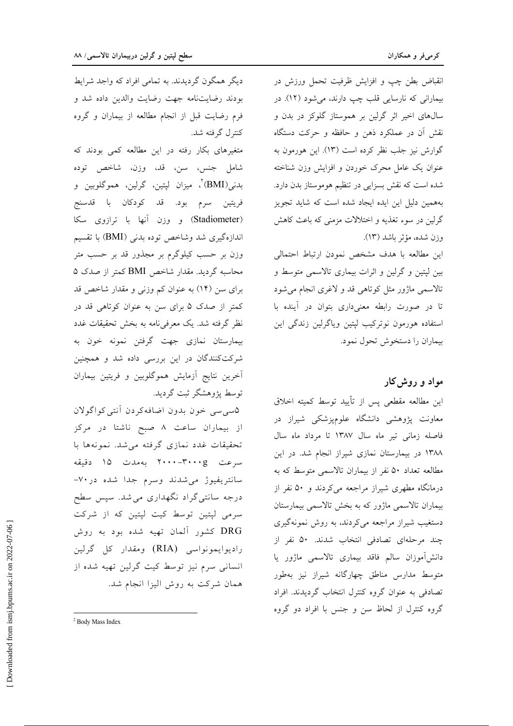انقباض بطن چپ و افزایش ظرفیت تحمل ورزش در بیمارانی که نارسایی قلب چپ دارند، می شود (١٢). در سالهای اخیر اثر گرلین بر هموستاز گلوکز در بدن و نقش آن در عملکرد ذهن و حافظه و حرکت دستگاه گوارش نیز جلب نظر کرده است (۱۳). این هورمون به عنوان یک عامل محرک خوردن و افزایش وزن شناخته شده است که نقش بسزایی در تنظیم هوموستاز بدن دارد. بههمین دلیل این ایده ایجاد شده است که شاید تجویز گرلین در سوء تغذیه و اختلالات مزمنی که باعث کاهش وزن شده، مؤثر باشد (١٣).

این مطالعه با هدف مشخص نمودن ارتباط احتمالی بین لپتین و گرلین و اثرات بیماری تالاسمی متوسط و تالاسمی ماژور مثل کوتاهی قد و لاغری انجام می شود تا در صورت رابطه معنی داری بتوان در آینده با استفاده هورمون نوتركيب لپتين وياگرلين زندگي اين بيماران را دستخوش تحول نمود.

# مواد و روش کار

این مطالعه مقطعی پس از تأیید توسط کمیته اخلاق معاونت پژوهشی دانشگاه علومپزشکی شیراز در فاصله زمانی تیر ماه سال ۱۳۸۷ تا مرداد ماه سال ١٣٨٨ در بيمارستان نمازي شيراز انجام شد. در اين مطالعه تعداد ۵۰ نفر از بیماران تالاسمی متوسط که به درمانگاه مطهری شیراز مراجعه میکردند و ۵۰ نفر از بیماران تالاسمی ماژور که به بخش تالاسمی بیمارستان دستغیب شیراز مراجعه میکردند، به روش نمونهگیری چند مرحلهای تصادفی انتخاب شدند. ۵۰ نفر از دانش[موزان سالم فاقد بيمارى تالاسمى ماژور يا متوسط مدارس مناطق چهارگانه شیراز نیز بهطور تصادفی به عنوان گروه کنترل انتخاب گردیدند. افراد گروه کنترل از لحاظ سن و جنس با افراد دو گروه

دیگر همگون گردیدند. به تمامی افراد که واجد شرایط بودند رضایتنامه جهت رضایت والدین داده شد و فرم رضایت قبل از انجام مطالعه از بیماران و گروه كنترل گرفته شد.

متغیرهای بکار رفته در این مطالعه کمی بودند که شامل جنس، سن، قد، وزن، شاخص توده بدني(BMI)<sup>۲</sup>، ميزان ليتين، گرلين، هموگلوبين و فريتين سرم بود. قد كودكان با قدسنج (Stadiometer) و وزن آنها با ترازوی سکا اندازهگیری شد وشاخص توده بدنی (BMI) با تقسیم وزن بر حسب کیلوگرم بر مجذور قد بر حسب متر محاسبه گردید. مقدار شاخص BMI کمتر از صدک ۵ برای سن (۱۴) به عنوان کم وزنی و مقدار شاخص قد کمتر از صدک ۵ برای سن به عنوان کوتاهی قد در نظر گرفته شد. یک معرفینامه به بخش تحقیقات غدد بیمارستان نمازی جهت گرفتن نمونه خون به شرکتکنندگان در این بررسی داده شد و همچنین آخرین نتایج آزمایش هموگلوبین و فریتین بیماران توسط پژوهشگر ثبت گردید.

۵سی سی خون بدون اضافهکردن أنتبی کواگولان از بیماران ساعت ۸ صبح ناشتا در مرکز تحقیقات غدد نمازی گرفته میشد. نمونهها با سرعت ٢٠٠٠-٢٠٠٠ به مدت ١۵ دقیقه سانتريفيوژ مى شدند وسرم جدا شده در ٧٠-درجه سانتمیگراد نگهداری می شد. سپس سطح سرمی لپتین توسط کیت لپتین که از شرکت DRG کشور آلمان تهیه شده بود به روش راديوايمونواسي (RIA) ومقدار كل گرلين انسانی سرم نیز توسط کیت گرلین تهیه شده از همان شرکت به روش الیزا انجام شد.

<sup>&</sup>lt;sup>2</sup> Body Mass Index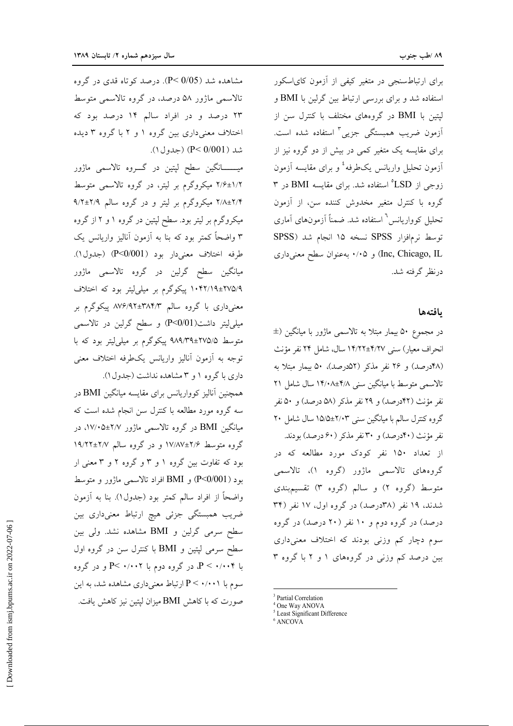برای ارتباطسنجی در متغیر کیفی از آزمون کایاسکور استفاده شد و برای بررسی ارتباط بین گرلین با BMI و لیتین با BMI در گروههای مختلف با کنترل سن از آزمون ضریب همبستگی جزیی<sup>۳</sup> استفاده شده است. برای مقایسه یک متغیر کمی در بیش از دو گروه نیز از آزمون تحلیل واریانس یکطرفه<sup>٤</sup> و برای مقایسه آزمون زوجی از LSD° استفاده شد. برای مقایسه BMI در ۳ گروه با کنترل متغیر مخدوش کننده سن، از آزمون تحلیل کوواریانس<sup>٦</sup> استفاده شد. ضمناً آزمونهای آماری توسط نرمافزار SPSS نسخه ١٥ انجام شد (SPSS Inc, Chicago, IL) و ۰/۰۵ به عنوان سطح معنى دارى درنظر گرفته شد.

#### يافتهها

در مجموع ۵۰ بیمار مبتلا به تالاسمی ماژور با میانگین (± انحراف معيار) سني ۴/۲۷±۱۴/۲۲ سال، شامل ۲۴ نفر مؤنث (۴۸درصد) و ۲۶ نفر مذکر (۵۲درصد)، ۵۰ بیمار مبتلا به تالاسمی متوسط با میانگین سنی ۴/۸±۱۴/۰۸ سال شامل ۲۱ نفر مؤنث (۴۲درصد) و ۲۹ نفر مذکر (۵۸ درصد) و ۵۰ نفر گروه کنترل سالم با میانگین سنی ۲/۰۳±۱۵/۵ سال شامل ۲۰ نفر مؤنث (۴۰درصد) و ۳۰ نفر مذکر (۶۰درصد) بودند. از تعداد ۱۵۰ نفر کودک مورد مطالعه که در گروههای تالاسمی ماژور (گروه ۱)، تالاسمی متوسط (گروه ۲) و سالم (گروه ۳) تقسیمېندي شدند، ۱۹ نفر (۳۸درصد) در گروه اول، ۱۷ نفر (۳۴ درصد) در گروه دوم و ۱۰ نفر (۲۰ درصد) در گروه سوم دچار کم وزنی بودند که اختلاف معنیداری بین درصد کم وزنی در گروههای ۱ و ۲ با گروه ۳

مشاهده شد (P< 0/05). درصد کو تاه قدی در گروه تالاسمی ماژور ۵۸ درصد، در گروه تالاسمی متوسط ۲۳ درصد و در افراد سالم ۱۴ درصد بود که اختلاف معنی داری بین گروه ۱ و ۲ با گروه ۳ دیده شد ( P< 0/001) (جدول ۱).

میـــــــانگین سطح لپتین در گــــروه تالاسمی ماژور ۲/۶±۱/۲ میکروگرم بر لیتر، در گروه تالاسمی متوسط ۲/۴±۲/۴ میکروگرم بر لیتر و در گروه سالم ۹/۲±۲/۹ میکروگرم بر لیتر بود. سطح لپتین در گروه ۱ و ۲ از گروه ۳ واضحاً کمتر بود که بنا به آزمون آنالیز واریانس یک طرفه اختلاف معنىدار بود (P<0/001) (جدول ۱). میانگین سطح گرلین در گروه تالاسمی ماژور ۲۷۵/۹±۲۷۵/۹ پیکوگرم بر میلی لیتر بود که اختلاف معنیداری با گروه سالم ۳۸۴/۳±۸۷۶/۹۲ پیکوگرم بر میلی لیتر داشت(P<0/01) و سطح گرلین در تالاسمی متوسط ۹۸۹/۳۹±۲۷۵/۵ پیکوگرم بر میل<sub>م</sub>لیتر بود که با توجه به آزمون آناليز واريانس يكطرفه اختلاف معنى داری با گروه ۱ و ۳ مشاهده نداشت (جدول ۱).

همچنین آنالیز کوواریانس برای مقایسه میانگین BMI در سه گروه مورد مطالعه با کنترل سن انجام شده است که میانگین BMI در گروه تالاسمی ماژور ۲/۷+۵±۱۷/۰۵، در گروه متوسط ۲/۶±۱۷/۸۷ و در گروه سالم ۲/۷±۱۹/۲۲ بود که تفاوت بین گروه ۱ و ۳ و گروه ۲ و ۳ معنی ار بود (P<0/001) و BMI افراد تالاسمی ماژور و متوسط واضحاً از افراد سالم كمتر بود (جدول١). بنا به آزمون ضریب همبستگی جزئی هیچ ارتباط معنیداری بین سطح سرمی گرلین و BMI مشاهده نشد. ولی بین سطح سرمی لپتین و BMI با کنترل سن در گروه اول با ۰/۰۰۴ > P، در گروه دوم با ۰/۰۰۲ >P و در گروه سوم با P < ۰/۰۰۱ ارتباط معنىدارى مشاهده شد، به اين صورت که با کاهش BMI میزان لیتین نیز کاهش یافت.

<sup>&</sup>lt;sup>3</sup> Partial Correlation

<sup>&</sup>lt;sup>4</sup> One Way ANOVA

<sup>&</sup>lt;sup>5</sup> Least Significant Difference

<sup>&</sup>lt;sup>6</sup> ANCOVA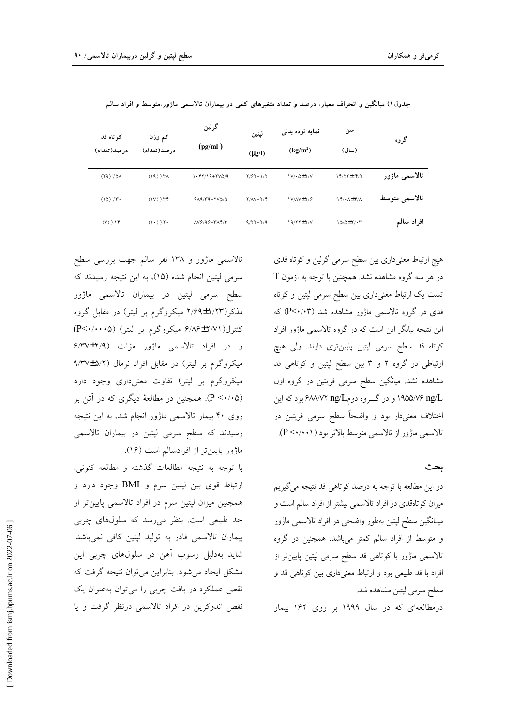| کوتاه قد<br>درصد(تعداد)         | کم وزن<br>در صد(تعداد)  | گرلين<br>(pg/ml)                                                | لپتين<br>$(\mu g/I)$ | نمايه توده بدنى<br>(kg/m <sup>2</sup> ) | سن<br>(سال)                                                  | گروه          |
|---------------------------------|-------------------------|-----------------------------------------------------------------|----------------------|-----------------------------------------|--------------------------------------------------------------|---------------|
| $(79)$ $7.01$                   | $(19)$ $/57$            | $1.477/19 + YVQ/9$                                              | $Y/5Y \pm 1/Y$       | $1V/\cdot \Delta \pm Y/V$               | 14/77± 4/7                                                   | تالاسمى ماژور |
| $(10)$ $7.7$                    | $(1V)$ $/7$             | $919/T9+7V0/0$                                                  | $Y/AV \pm Y/Y$       | IV/AV±Y/۶                               | $\{\check{\mathbf{r}}\cdot\mathbf{r}+\mathbf{r}\}\mathbf{r}$ | تالاسمى متوسط |
| $(V)$ $/$ $\uparrow$ $\uparrow$ | $(1 \cdot )$ $/5 \cdot$ | $\Lambda V \hat{z}/9 \hat{z} \pm \Gamma \Lambda \hat{y}/\Gamma$ | $9/77 \pm 7/9$       | $19/77 \pm 7/ V$                        | $10/0+7/17$                                                  | افراد سالم    |

جدول۱) میانگین و انحراف معیار، درصد و تعداد متغیرهای کمی در بیماران تالاسمی ماژور،متوسط و افراد سالم

تالاسمی ماژور و ۱۳۸ نفر سالم جهت بررسی سطح سرمی لپتین انجام شده (١۵)، به این نتیجه رسیدند که سطح سرمی لپتین در بیماران تالاسمی ماژور مذکر(۱/۲۳±۲/۶۹ میکروگرم بر لیتر) در مقابل گروه کنترل(۲/۷۱±۶/۸۶ میکروگرم بر لیتر) (P<۰/۰۰۰۵) و در افراد تالاسمی ماژور مؤنث (۲/۹±۴/۳۷ میکروگرم بر لیتر) در مقابل افراد نرمال (۵/۲+۹/۳۷ میکروگرم بر لیتر) تفاوت معنیداری وجود دارد (P < · / •۵). همچنین در مطالعهٔ دیگری که در آتن بر روی ۴۰ بیمار تالاسمی ماژور انجام شد، به این نتیجه رسیدند که سطح سرمی لپتین در بیماران تالاسمی ماژور پایینتر از افرادسالم است (۱۶).

با توجه به نتيجه مطالعات گذشته و مطالعه كنوني، ارتباط قوى بين لپتين سرم و BMI وجود دارد و همچنین میزان لپتین سرم در افراد تالاسمی پایینتر از حد طبیعی است. بنظر می رسد که سلولهای چربی بیماران تالاسمی قادر به تولید لپتین کافی نمیباشد. شاید بهدلیل رسوب آهن در سلولهای چربی این مشکل ایجاد می شود. بنابراین می توان نتیجه گرفت که نقص عملکرد در بافت چربی را می توان بهعنوان یک نقص اندوکرین در افراد تالاسمی درنظر گرفت و یا

هیچ ارتباط معنیداری بین سطح سرمی گرلین و کوتاه قدی  $T$  در هر سه گروه مشاهده نشد. همچنین با توجه به آزمون تست یک ارتباط معنیداری بین سطح سرمی لپتین و کوتاه قدی در گروه تالاسمی ماژور مشاهده شد (P<۰/۰۳) که این نتیجه بیانگر این است که در گروه تالاسمی ماژور افراد کوتاه قد سطح سرمی لپتین پایینتری دارند. ولی هیچ ارتباطی در گروه ۲ و ۳ بین سطح لپتین و کوتاهی قد مشاهده نشد. میانگین سطح سرمی فریتین در گروه اول .۱۹۵۵/۷۶ ng/L و در گـــروه دومD۳۲ ng/L بود که این اختلاف معنیدار بود و واضحاً سطح سرمی فریتین در تالاسمی ماژور از تالاسمی متوسط بالاتر بود (P<۰/۰۰۱).

#### ىحث

در این مطالعه با توجه به درصد کوتاهی قد نتیجه می گیریم میزان کوتاهقدی در افراد تالاسمی بیشتر از افراد سالم است و میـانگین سطح لپتین بهطور واضحی در افراد تالاسمی ماژور و متوسط از افراد سالم کمتر میباشد. همچنین در گروه تالاسمی ماژور با کوتاهی قد سطح سرمی لپتین پایینتر از افراد با قد طبیعی بود و ارتباط معنیداری بین کوتاهی قد و سطح سرمي لپتين مشاهده شد.

درمطالعهای که در سال ۱۹۹۹ بر روی ۱۶۲ بیمار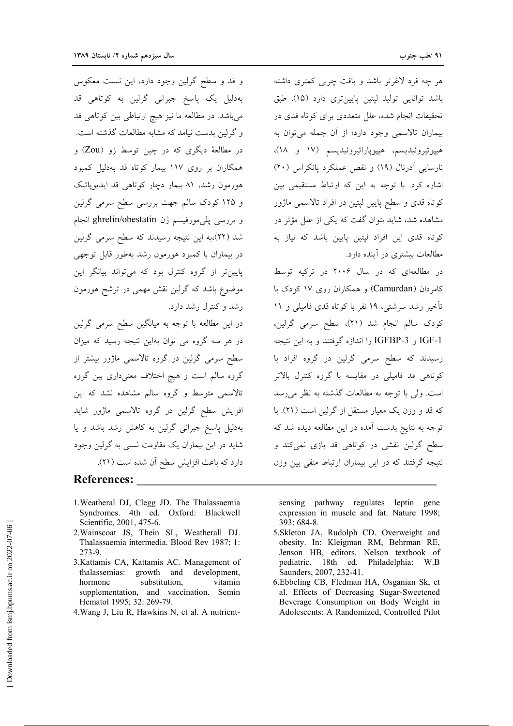هر چه فرد لاغرتر باشد و بافت چربی کمتری داشته باشد توانایی تولید لپتین پایینتری دارد (۱۵). طبق تحقیقات انجام شده، علل متعددی برای کوتاه قدی در بيماران تالاسمي وجود دارد؛ از آن جمله مي توان به هييوتيروئيديسم، هييوياراتيروئيديسم (١٧ و ١٨)، نارسایی آدرنال (١٩) و نقص عملکرد یانکراس (٢٠) اشاره کرد. با توجه به این که ارتباط مستقیمی بین کوتاه قدی و سطح پایین لپتین در افراد تالاسمی ماژور مشاهده شد، شاید بتوان گفت که یکی از علل مؤثر در کوتاه قدی این افراد لپتین پایین باشد که نیاز به مطالعات بیشتری در آینده دارد.

در مطالعهای که در سال ۲۰۰۶ در ترکیه توسط کام دان (Camurdan) و همکاران روی ۱۷ کودک با تأخیر رشد سرشتی، ۱۹ نفر با کوتاه قدی فامیلی و ۱۱ كودك سالم انجام شد (٢١)، سطح سرمي گرلين، IGF-1 و IGFBP-3 را اندازه گرفتند و به این نتیجه رسیدند که سطح سرمی گرلین در گروه افراد با کوتاهی قد فامیلی در مقایسه با گروه کنترل بالاتر است. ولي با توجه به مطالعات گذشته به نظر مي رسد که قد و وزن یک معیار مستقل از گرلین است (۲۱). با توجه به نتایج بدست آمده در این مطالعه دیده شد که سطح گرلین نقشی در کوتاهی قد بازی نمیکند و نتیجه گرفتند که در این بیماران ارتباط منفی بین وزن

sensing pathway regulates leptin gene expression in muscle and fat. Nature 1998; 393: 684-8.

- 5.Skleton JA, Rudolph CD. Overweight and obesity. In: Kleigman RM, Behrman RE, Jenson HB, editors. Nelson textbook of pediatric. 18th ed. Philadelphia: W.B Saunders, 2007, 232-41.
- 6. Ebbeling CB, Fledman HA, Osganian Sk, et al. Effects of Decreasing Sugar-Sweetened Beverage Consumption on Body Weight in Adolescents: A Randomized, Controlled Pilot

و قد و سطح گرلین وجود دارد، این نسبت معکوس بهدلیل یک پاسخ جبرانی گرلین به کوتاهی قد می باشد. در مطالعه ما نیز هیچ ارتباطی بین کوتاهی قد و گرلین بدست نیامد که مشابه مطالعات گذشته است. در مطالعهٔ دیگری که در چین توسط زو (Zou) و همکاران بر روی ۱۱۷ بیمار کوتاه قد بهدلیل کمبود هورمون رشد، ۸۱ بیمار دچار کوتاهی قد ایدیوپاتیک و ۱۲۵ کودک سالم جهت بررسی سطح سرمی گرلین و بررسی پلیمورفیسم ژن ghrelin/obestatin انجام شد (۲۲)،به این نتیجه رسیدند که سطح سرمی گرلین در بیماران با کمبود هورمون رشد بهطور قابل توجهی پایین تر از گروه کنترل بود که می تواند بیانگر این موضوع باشد که گرلین نقش مهمی در ترشح هورمون رشد و کنترل رشد دارد.

در این مطالعه با توجه به میانگین سطح سرمی گرلین در هر سه گروه می توان بهاین نتیجه رسید که میزان سطح سرمی گرلین در گروه تالاسمی ماژور بیشتر از گروه سالم است و هیچ اختلاف معنیداری بین گروه ۔<br>تالاسمی متوسط و گروہ سالم مشاہدہ نشد که این افزایش سطح گرلین در گروه تالاسمی ماژور شاید بهدلیل پاسخ جبرانی گرلین به کاهش رشد باشد و یا شاید در این بیماران یک مقاومت نسبی به گرلین وجود دارد كه باعث افزايش سطح آن شده است (٢١).

## **References:**

- 1. Weatheral DJ, Clegg JD. The Thalassaemia Syndromes. 4th ed. Oxford: Blackwell Scientific, 2001, 475-6.
- 2. Wainscoat JS, Thein SL, Weatherall DJ. Thalassaemia intermedia. Blood Rev 1987; 1: 273-9.
- 3.Kattamis CA, Kattamis AC. Management of thalassemias: growth and development, hormone substitution. vitamin supplementation, and vaccination. Semin Hematol 1995; 32: 269-79.
- 4. Wang J, Liu R, Hawkins N, et al. A nutrient-